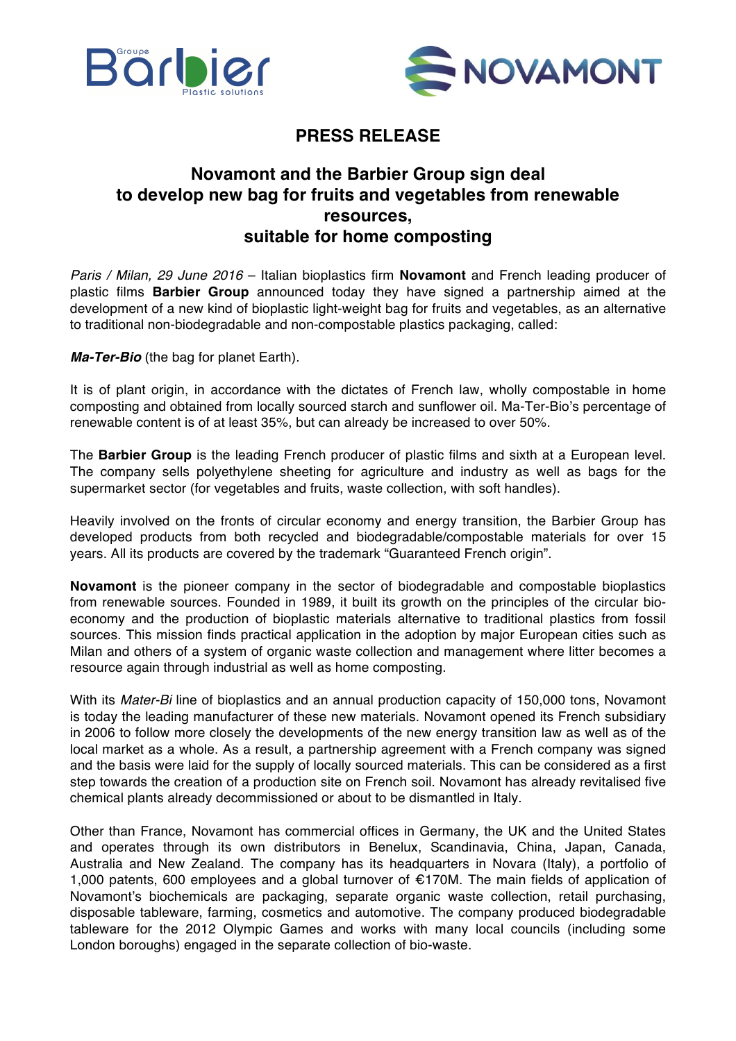



## **PRESS RELEASE**

## **Novamont and the Barbier Group sign deal to develop new bag for fruits and vegetables from renewable resources, suitable for home composting**

*Paris / Milan, 29 June 2016* – Italian bioplastics firm **Novamont** and French leading producer of plastic films **Barbier Group** announced today they have signed a partnership aimed at the development of a new kind of bioplastic light-weight bag for fruits and vegetables, as an alternative to traditional non-biodegradable and non-compostable plastics packaging, called:

*Ma-Ter-Bio* (the bag for planet Earth).

It is of plant origin, in accordance with the dictates of French law, wholly compostable in home composting and obtained from locally sourced starch and sunflower oil. Ma-Ter-Bio's percentage of renewable content is of at least 35%, but can already be increased to over 50%.

The **Barbier Group** is the leading French producer of plastic films and sixth at a European level. The company sells polyethylene sheeting for agriculture and industry as well as bags for the supermarket sector (for vegetables and fruits, waste collection, with soft handles).

Heavily involved on the fronts of circular economy and energy transition, the Barbier Group has developed products from both recycled and biodegradable/compostable materials for over 15 years. All its products are covered by the trademark "Guaranteed French origin".

**Novamont** is the pioneer company in the sector of biodegradable and compostable bioplastics from renewable sources. Founded in 1989, it built its growth on the principles of the circular bioeconomy and the production of bioplastic materials alternative to traditional plastics from fossil sources. This mission finds practical application in the adoption by major European cities such as Milan and others of a system of organic waste collection and management where litter becomes a resource again through industrial as well as home composting.

With its *Mater-Bi* line of bioplastics and an annual production capacity of 150,000 tons, Novamont is today the leading manufacturer of these new materials. Novamont opened its French subsidiary in 2006 to follow more closely the developments of the new energy transition law as well as of the local market as a whole. As a result, a partnership agreement with a French company was signed and the basis were laid for the supply of locally sourced materials. This can be considered as a first step towards the creation of a production site on French soil. Novamont has already revitalised five chemical plants already decommissioned or about to be dismantled in Italy.

Other than France, Novamont has commercial offices in Germany, the UK and the United States and operates through its own distributors in Benelux, Scandinavia, China, Japan, Canada, Australia and New Zealand. The company has its headquarters in Novara (Italy), a portfolio of 1,000 patents, 600 employees and a global turnover of €170M. The main fields of application of Novamont's biochemicals are packaging, separate organic waste collection, retail purchasing, disposable tableware, farming, cosmetics and automotive. The company produced biodegradable tableware for the 2012 Olympic Games and works with many local councils (including some London boroughs) engaged in the separate collection of bio-waste.